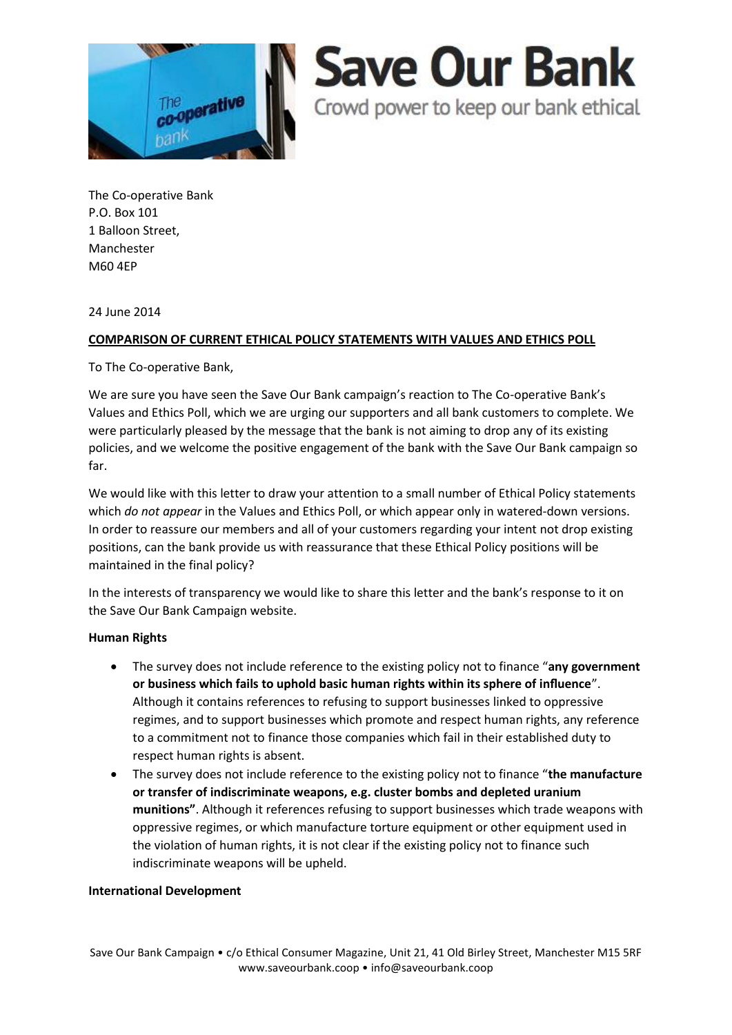

# **Save Our Bank**

Crowd power to keep our bank ethical

The Co-operative Bank P.O. Box 101 1 Balloon Street, Manchester M60 4EP

24 June 2014

## **COMPARISON OF CURRENT ETHICAL POLICY STATEMENTS WITH VALUES AND ETHICS POLL**

To The Co-operative Bank,

We are sure you have seen the Save Our Bank campaign's reaction to The Co-operative Bank's Values and Ethics Poll, which we are urging our supporters and all bank customers to complete. We were particularly pleased by the message that the bank is not aiming to drop any of its existing policies, and we welcome the positive engagement of the bank with the Save Our Bank campaign so far.

We would like with this letter to draw your attention to a small number of Ethical Policy statements which *do not appear* in the Values and Ethics Poll, or which appear only in watered-down versions. In order to reassure our members and all of your customers regarding your intent not drop existing positions, can the bank provide us with reassurance that these Ethical Policy positions will be maintained in the final policy?

In the interests of transparency we would like to share this letter and the bank's response to it on the Save Our Bank Campaign website.

## **Human Rights**

- The survey does not include reference to the existing policy not to finance "**any government or business which fails to uphold basic human rights within its sphere of influence**". Although it contains references to refusing to support businesses linked to oppressive regimes, and to support businesses which promote and respect human rights, any reference to a commitment not to finance those companies which fail in their established duty to respect human rights is absent.
- The survey does not include reference to the existing policy not to finance "**the manufacture or transfer of indiscriminate weapons, e.g. cluster bombs and depleted uranium munitions"**. Although it references refusing to support businesses which trade weapons with oppressive regimes, or which manufacture torture equipment or other equipment used in the violation of human rights, it is not clear if the existing policy not to finance such indiscriminate weapons will be upheld.

## **International Development**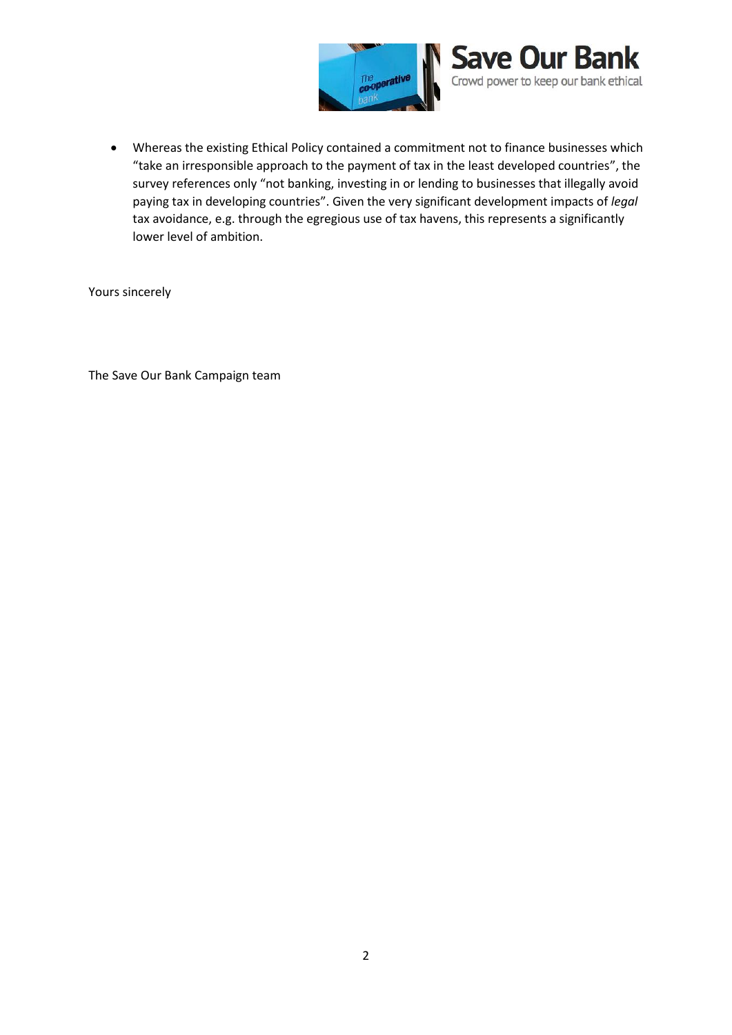

 Whereas the existing Ethical Policy contained a commitment not to finance businesses which "take an irresponsible approach to the payment of tax in the least developed countries", the survey references only "not banking, investing in or lending to businesses that illegally avoid paying tax in developing countries". Given the very significant development impacts of *legal* tax avoidance, e.g. through the egregious use of tax havens, this represents a significantly lower level of ambition.

Yours sincerely

The Save Our Bank Campaign team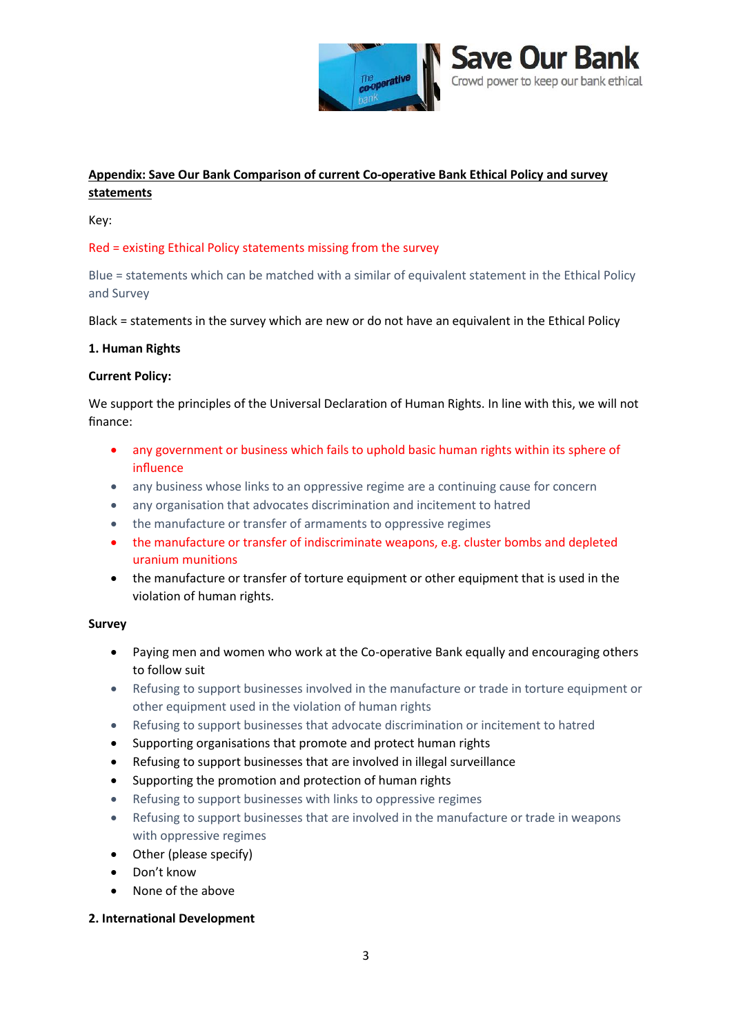

## **Appendix: Save Our Bank Comparison of current Co-operative Bank Ethical Policy and survey statements**

Key:

## Red = existing Ethical Policy statements missing from the survey

Blue = statements which can be matched with a similar of equivalent statement in the Ethical Policy and Survey

Black = statements in the survey which are new or do not have an equivalent in the Ethical Policy

#### **1. Human Rights**

#### **Current Policy:**

We support the principles of the Universal Declaration of Human Rights. In line with this, we will not finance:

- any government or business which fails to uphold basic human rights within its sphere of influence
- any business whose links to an oppressive regime are a continuing cause for concern
- any organisation that advocates discrimination and incitement to hatred
- the manufacture or transfer of armaments to oppressive regimes
- the manufacture or transfer of indiscriminate weapons, e.g. cluster bombs and depleted uranium munitions
- the manufacture or transfer of torture equipment or other equipment that is used in the violation of human rights.

#### **Survey**

- Paying men and women who work at the Co-operative Bank equally and encouraging others to follow suit
- Refusing to support businesses involved in the manufacture or trade in torture equipment or other equipment used in the violation of human rights
- Refusing to support businesses that advocate discrimination or incitement to hatred
- Supporting organisations that promote and protect human rights
- Refusing to support businesses that are involved in illegal surveillance
- Supporting the promotion and protection of human rights
- Refusing to support businesses with links to oppressive regimes
- Refusing to support businesses that are involved in the manufacture or trade in weapons with oppressive regimes
- Other (please specify)
- Don't know
- None of the above

#### **2. International Development**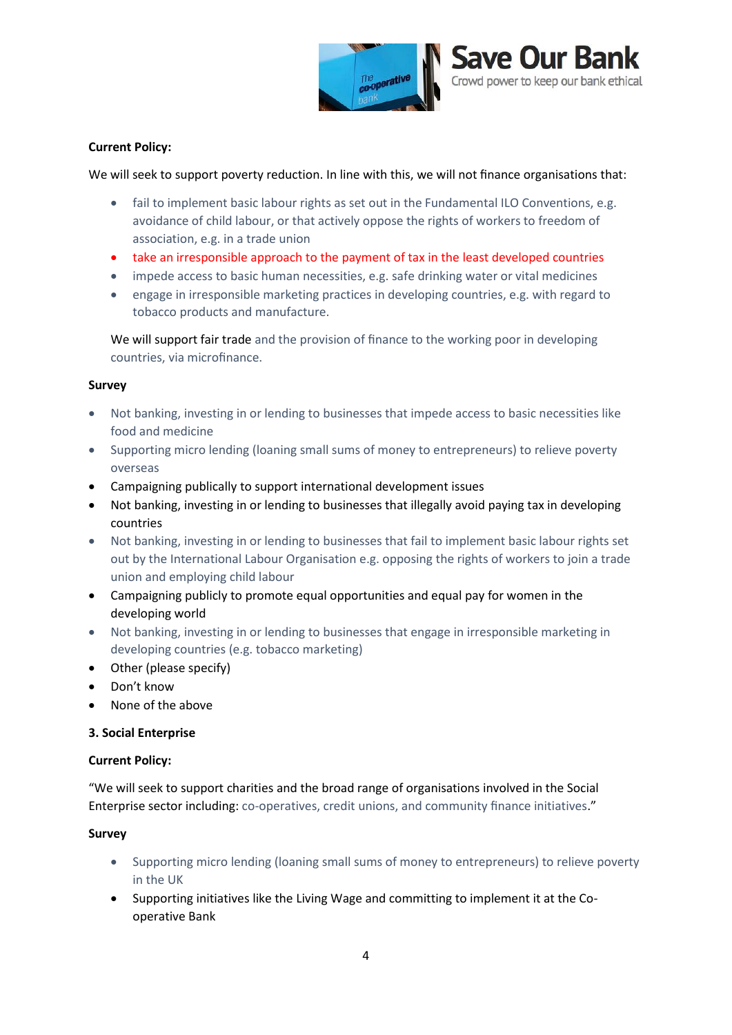

#### **Current Policy:**

We will seek to support poverty reduction. In line with this, we will not finance organisations that:

- fail to implement basic labour rights as set out in the Fundamental ILO Conventions, e.g. avoidance of child labour, or that actively oppose the rights of workers to freedom of association, e.g. in a trade union
- take an irresponsible approach to the payment of tax in the least developed countries
- impede access to basic human necessities, e.g. safe drinking water or vital medicines
- engage in irresponsible marketing practices in developing countries, e.g. with regard to tobacco products and manufacture.

We will support fair trade and the provision of finance to the working poor in developing countries, via microfinance.

#### **Survey**

- Not banking, investing in or lending to businesses that impede access to basic necessities like food and medicine
- Supporting micro lending (loaning small sums of money to entrepreneurs) to relieve poverty overseas
- Campaigning publically to support international development issues
- Not banking, investing in or lending to businesses that illegally avoid paying tax in developing countries
- Not banking, investing in or lending to businesses that fail to implement basic labour rights set out by the International Labour Organisation e.g. opposing the rights of workers to join a trade union and employing child labour
- Campaigning publicly to promote equal opportunities and equal pay for women in the developing world
- Not banking, investing in or lending to businesses that engage in irresponsible marketing in developing countries (e.g. tobacco marketing)
- Other (please specify)
- Don't know
- None of the above

#### **3. Social Enterprise**

#### **Current Policy:**

"We will seek to support charities and the broad range of organisations involved in the Social Enterprise sector including: co-operatives, credit unions, and community finance initiatives."

#### **Survey**

- Supporting micro lending (loaning small sums of money to entrepreneurs) to relieve poverty in the UK
- Supporting initiatives like the Living Wage and committing to implement it at the Cooperative Bank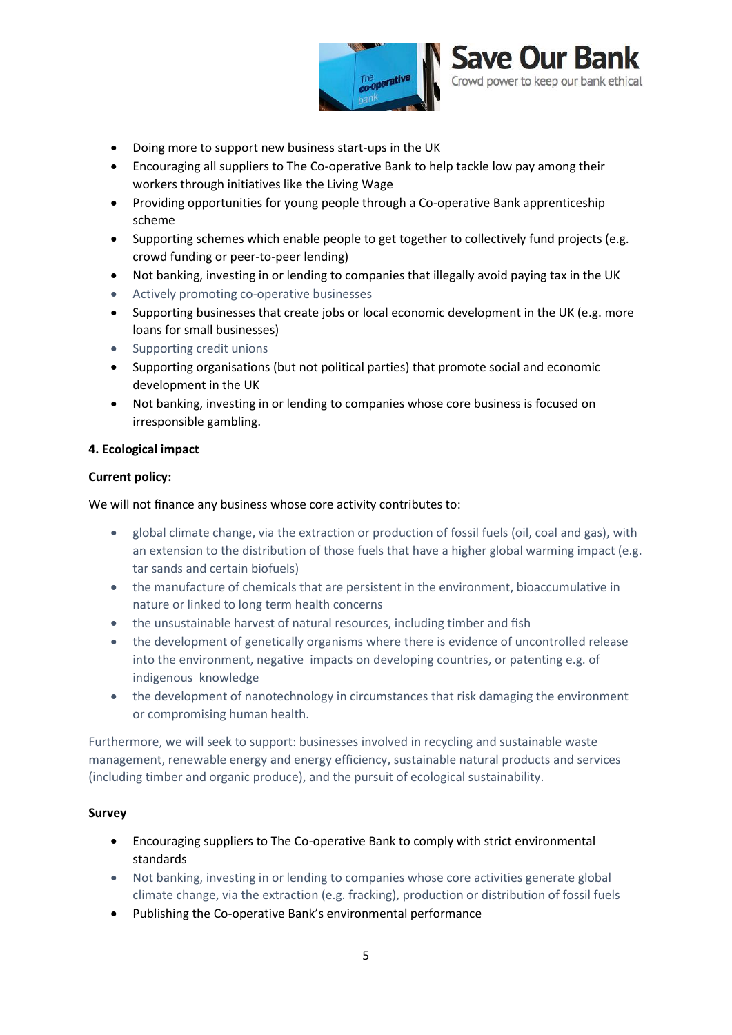



- Doing more to support new business start-ups in the UK
- Encouraging all suppliers to The Co-operative Bank to help tackle low pay among their workers through initiatives like the Living Wage
- Providing opportunities for young people through a Co-operative Bank apprenticeship scheme
- Supporting schemes which enable people to get together to collectively fund projects (e.g. crowd funding or peer-to-peer lending)
- Not banking, investing in or lending to companies that illegally avoid paying tax in the UK
- Actively promoting co-operative businesses
- Supporting businesses that create jobs or local economic development in the UK (e.g. more loans for small businesses)
- Supporting credit unions
- Supporting organisations (but not political parties) that promote social and economic development in the UK
- Not banking, investing in or lending to companies whose core business is focused on irresponsible gambling.

## **4. Ecological impact**

#### **Current policy:**

We will not finance any business whose core activity contributes to:

- global climate change, via the extraction or production of fossil fuels (oil, coal and gas), with an extension to the distribution of those fuels that have a higher global warming impact (e.g. tar sands and certain biofuels)
- the manufacture of chemicals that are persistent in the environment, bioaccumulative in nature or linked to long term health concerns
- the unsustainable harvest of natural resources, including timber and fish
- the development of genetically organisms where there is evidence of uncontrolled release into the environment, negative impacts on developing countries, or patenting e.g. of indigenous knowledge
- the development of nanotechnology in circumstances that risk damaging the environment or compromising human health.

Furthermore, we will seek to support: businesses involved in recycling and sustainable waste management, renewable energy and energy efficiency, sustainable natural products and services (including timber and organic produce), and the pursuit of ecological sustainability.

## **Survey**

- Encouraging suppliers to The Co-operative Bank to comply with strict environmental standards
- Not banking, investing in or lending to companies whose core activities generate global climate change, via the extraction (e.g. fracking), production or distribution of fossil fuels
- Publishing the Co-operative Bank's environmental performance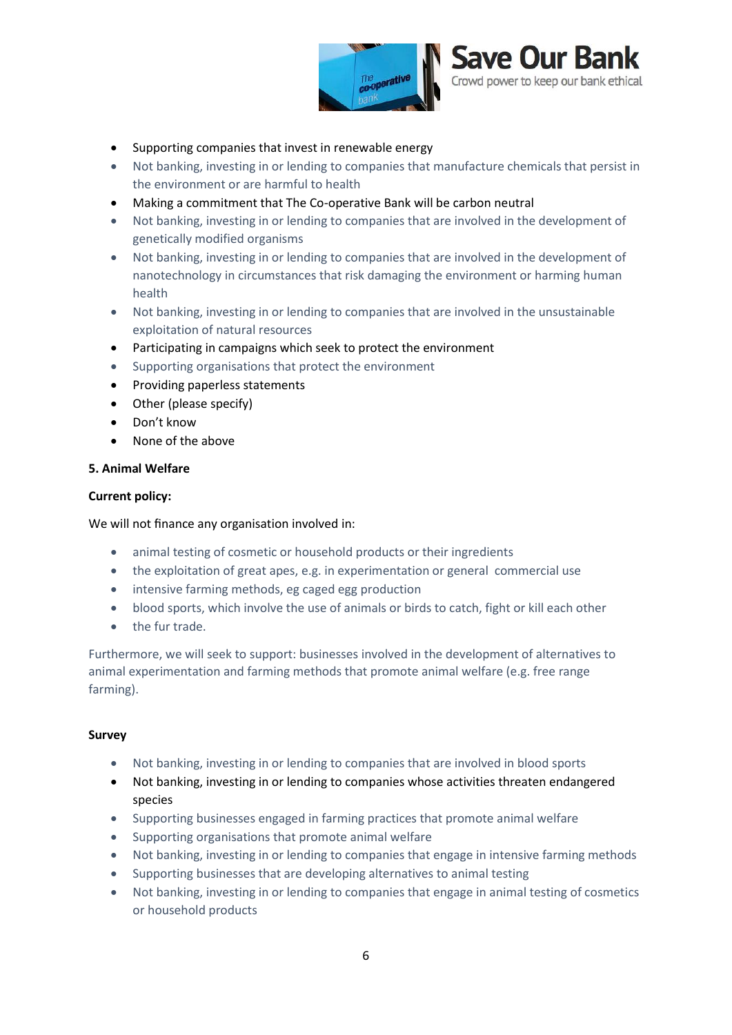



- Supporting companies that invest in renewable energy
- Not banking, investing in or lending to companies that manufacture chemicals that persist in the environment or are harmful to health
- Making a commitment that The Co-operative Bank will be carbon neutral
- Not banking, investing in or lending to companies that are involved in the development of genetically modified organisms
- Not banking, investing in or lending to companies that are involved in the development of nanotechnology in circumstances that risk damaging the environment or harming human health
- Not banking, investing in or lending to companies that are involved in the unsustainable exploitation of natural resources
- Participating in campaigns which seek to protect the environment
- Supporting organisations that protect the environment
- Providing paperless statements
- Other (please specify)
- Don't know
- None of the above

#### **5. Animal Welfare**

#### **Current policy:**

We will not finance any organisation involved in:

- animal testing of cosmetic or household products or their ingredients
- the exploitation of great apes, e.g. in experimentation or general commercial use
- intensive farming methods, eg caged egg production
- blood sports, which involve the use of animals or birds to catch, fight or kill each other
- the fur trade.

Furthermore, we will seek to support: businesses involved in the development of alternatives to animal experimentation and farming methods that promote animal welfare (e.g. free range farming).

#### **Survey**

- Not banking, investing in or lending to companies that are involved in blood sports
- Not banking, investing in or lending to companies whose activities threaten endangered species
- Supporting businesses engaged in farming practices that promote animal welfare
- Supporting organisations that promote animal welfare
- Not banking, investing in or lending to companies that engage in intensive farming methods
- Supporting businesses that are developing alternatives to animal testing
- Not banking, investing in or lending to companies that engage in animal testing of cosmetics or household products